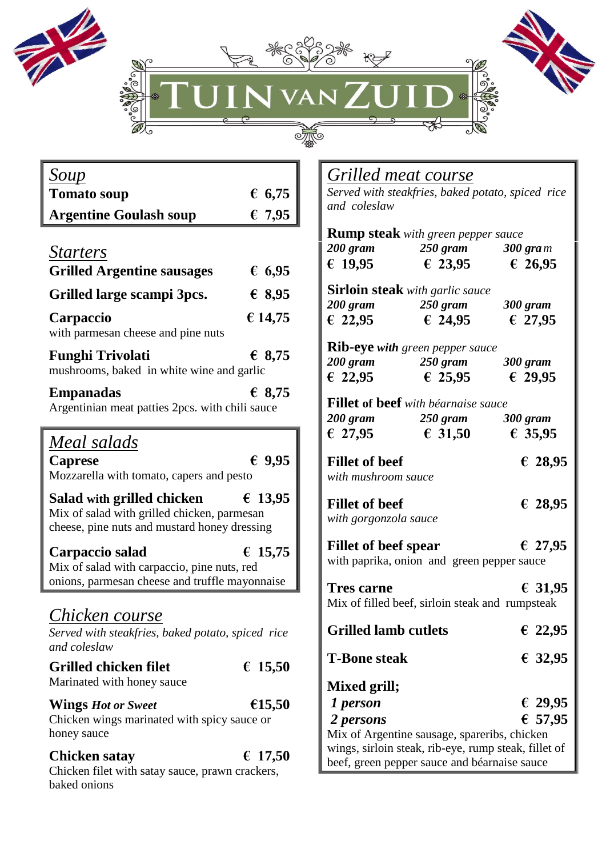



| <u>Soup</u>                                                                                                               |                 |
|---------------------------------------------------------------------------------------------------------------------------|-----------------|
| <b>Tomato soup</b>                                                                                                        | 6,75            |
| <b>Argentine Goulash soup</b>                                                                                             | € 7,95          |
| <u>Starters</u><br><b>Grilled Argentine sausages</b>                                                                      | € 6,95          |
| Grilled large scampi 3pcs.                                                                                                | € 8,95          |
| Carpaccio<br>with parmesan cheese and pine nuts                                                                           | € 14,75         |
| <b>Funghi Trivolati</b><br>mushrooms, baked in white wine and garlic                                                      | € 8,75          |
| <b>Empanadas</b><br>Argentinian meat patties 2pcs. with chili sauce                                                       | $\epsilon$ 8,75 |
| Meal salads<br>Caprese<br>Mozzarella with tomato, capers and pesto                                                        | 69,95           |
| Salad with grilled chicken<br>Mix of salad with grilled chicken, parmesan<br>cheese, pine nuts and mustard honey dressing | € 13,95         |
| Carpaccio salad<br>Mix of salad with carpaccio, pine nuts, red<br>onions, parmesan cheese and truffle mayonnaise          | € 15,75         |
| Chicken course<br>Served with steakfries, baked potato, spiced rice<br>and coleslaw                                       |                 |
| <b>Grilled chicken filet</b><br>Marinated with honey sauce                                                                | € 15,50         |
| <b>Wings Hot or Sweet</b><br>Chicken wings marinated with spicy sauce or<br>honey sauce                                   | €15,50          |
| Chicken satay                                                                                                             | € 17,50         |

Chicken filet with satay sauce, prawn crackers,

baked onions

## *Grilled meat course*

 $\circ \overline{\mathcal{H}}$ 

*Served with steakfries, baked potato, spiced rice and coleslaw*

|                                                      | <b>Rump steak</b> with green pepper sauce                       |                                   |
|------------------------------------------------------|-----------------------------------------------------------------|-----------------------------------|
|                                                      | 200 gram 250 gram 300 gram                                      |                                   |
| € 19,95                                              | € 23,95                                                         | € 26,95                           |
|                                                      | <b>Sirloin steak</b> with garlic sauce                          |                                   |
|                                                      | 200 gram 250 gram                                               | 300 gram                          |
| € 22,95                                              | € 24,95                                                         | € 27,95                           |
|                                                      | <b>Rib-eye with green pepper sauce</b>                          |                                   |
|                                                      |                                                                 |                                   |
|                                                      | $200 \text{ gram}$ 250 gram 300 gram<br>€ 22,95 € 25,95 € 29,95 |                                   |
|                                                      | <b>Fillet of beef</b> with béarnaise sauce                      |                                   |
|                                                      | 200 gram 250 gram 300 gram                                      |                                   |
| € 27,95                                              |                                                                 | $\epsilon$ 31,50 $\epsilon$ 35,95 |
| <b>Fillet of beef</b><br>with mushroom sauce         |                                                                 | € 28,95                           |
| <b>Fillet of beef</b><br>with gorgonzola sauce       |                                                                 | € 28,95                           |
| <b>Fillet of beef spear</b>                          | with paprika, onion and green pepper sauce                      | € 27,95                           |
| <b>Tres carne</b>                                    | Mix of filled beef, sirloin steak and rumpsteak                 | € 31,95                           |
| <b>Grilled lamb cutlets</b>                          |                                                                 | € 22,95                           |
| <b>T-Bone steak</b>                                  |                                                                 | € 32,95                           |
| Mixed grill;                                         |                                                                 |                                   |
| 1 person                                             |                                                                 | € 29,95                           |
| 2 persons                                            |                                                                 | € 57,95                           |
|                                                      | Mix of Argentine sausage, spareribs, chicken                    |                                   |
| wings, sirloin steak, rib-eye, rump steak, fillet of |                                                                 |                                   |
| beef, green pepper sauce and béarnaise sauce         |                                                                 |                                   |